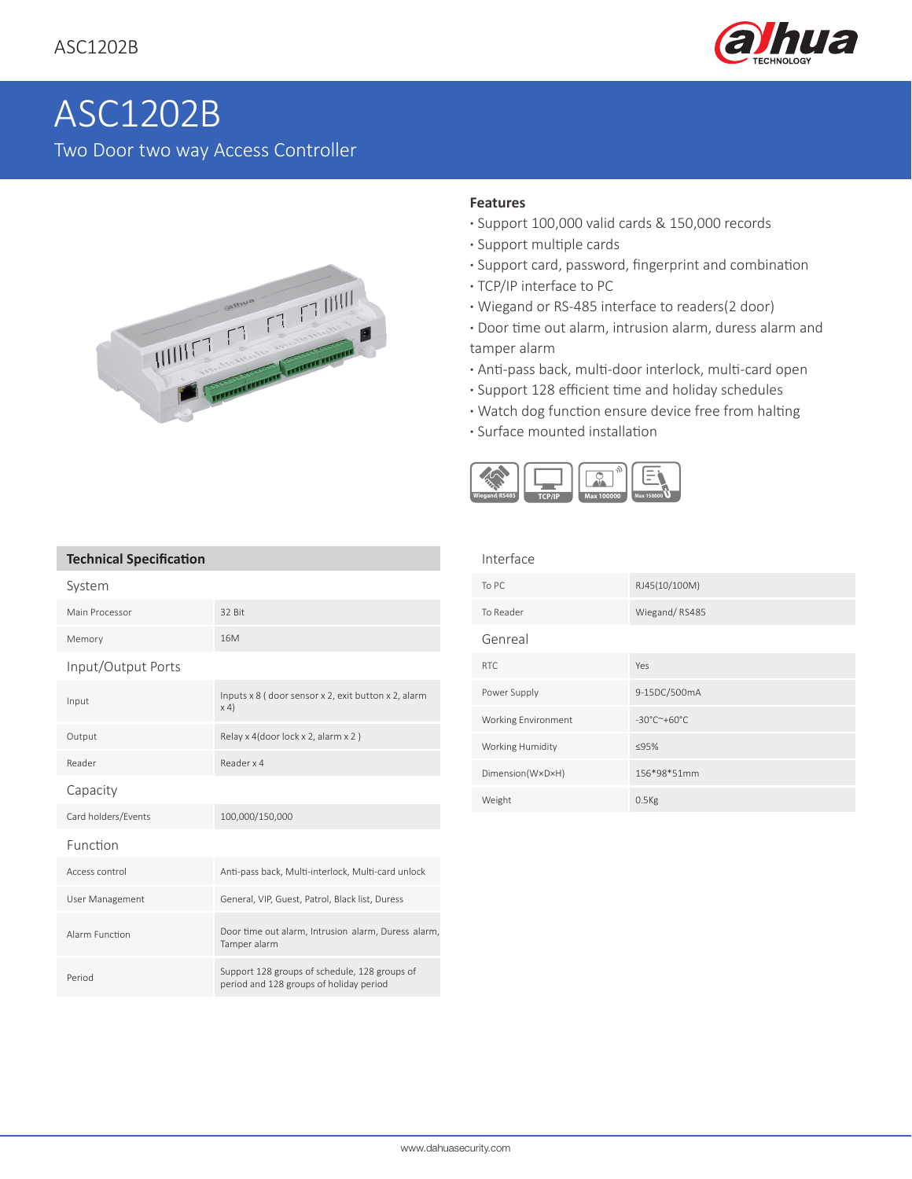

# ASC1202B Two Door two way Access Controller



### **Features**

- **·** Support 100,000 valid cards & 150,000 records
- **·** Support multiple cards
- **·** Support card, password, fingerprint and combination
- **·** TCP/IP interface to PC
- **·** Wiegand or RS-485 interface to readers(2 door)
- **·** Door time out alarm, intrusion alarm, duress alarm and tamper alarm
- **·** Anti-pass back, multi-door interlock, multi-card open
- **·** Support 128 efficient time and holiday schedules
- **·** Watch dog function ensure device free from halting
- **·** Surface mounted installation



#### **Technical Specification**

| System              |                                                                                          |
|---------------------|------------------------------------------------------------------------------------------|
| Main Processor      | 32 Bit                                                                                   |
| Memory              | 16 <sub>M</sub>                                                                          |
| Input/Output Ports  |                                                                                          |
| Input               | Inputs x 8 (door sensor x 2, exit button x 2, alarm<br>$\times$ 4)                       |
| Output              | Relay x 4(door lock x 2, alarm x 2)                                                      |
| Reader              | Reader x 4                                                                               |
| Capacity            |                                                                                          |
| Card holders/Events | 100,000/150,000                                                                          |
| Function            |                                                                                          |
| Access control      | Anti-pass back, Multi-interlock, Multi-card unlock                                       |
| User Management     | General, VIP, Guest, Patrol, Black list, Duress                                          |
| Alarm Function      | Door time out alarm, Intrusion alarm, Duress alarm,<br>Tamper alarm                      |
| Period              | Support 128 groups of schedule, 128 groups of<br>period and 128 groups of holiday period |

| RJ45(10/100M) |
|---------------|
| Wiegand/RS485 |
|               |
|               |
| 9-15DC/500mA  |
|               |
|               |
| 156*98*51mm   |
|               |
|               |